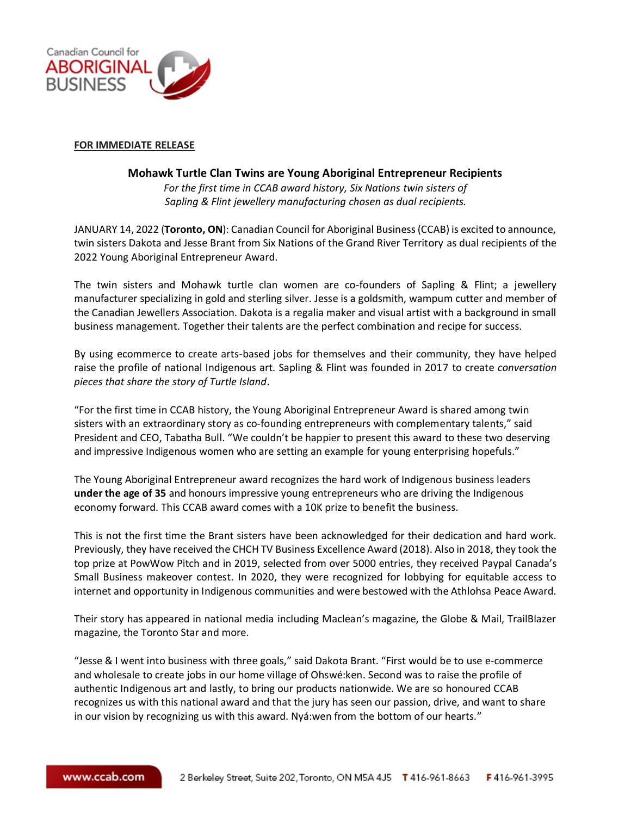

## **FOR IMMEDIATE RELEASE**

## **Mohawk Turtle Clan Twins are Young Aboriginal Entrepreneur Recipients**

*For the first time in CCAB award history, Six Nations twin sisters of Sapling & Flint jewellery manufacturing chosen as dual recipients.*

JANUARY 14, 2022 (**Toronto, ON**): Canadian Council for Aboriginal Business (CCAB) is excited to announce, twin sisters Dakota and Jesse Brant from Six Nations of the Grand River Territory as dual recipients of the 2022 Young Aboriginal Entrepreneur Award.

The twin sisters and Mohawk turtle clan women are co-founders of Sapling & Flint; a jewellery manufacturer specializing in gold and sterling silver. Jesse is a goldsmith, wampum cutter and member of the Canadian Jewellers Association. Dakota is a regalia maker and visual artist with a background in small business management. Together their talents are the perfect combination and recipe for success.

By using ecommerce to create arts-based jobs for themselves and their community, they have helped raise the profile of national Indigenous art. Sapling & Flint was founded in 2017 to create *conversation pieces that share the story of Turtle Island*.

"For the first time in CCAB history, the Young Aboriginal Entrepreneur Award is shared among twin sisters with an extraordinary story as co-founding entrepreneurs with complementary talents," said President and CEO, Tabatha Bull. "We couldn't be happier to present this award to these two deserving and impressive Indigenous women who are setting an example for young enterprising hopefuls."

The Young Aboriginal Entrepreneur award recognizes the hard work of Indigenous business leaders **under the age of 35** and honours impressive young entrepreneurs who are driving the Indigenous economy forward. This CCAB award comes with a 10K prize to benefit the business.

This is not the first time the Brant sisters have been acknowledged for their dedication and hard work. Previously, they have received the CHCH TV Business Excellence Award (2018). Also in 2018, they took the top prize at PowWow Pitch and in 2019, selected from over 5000 entries, they received Paypal Canada's Small Business makeover contest. In 2020, they were recognized for lobbying for equitable access to internet and opportunity in Indigenous communities and were bestowed with the Athlohsa Peace Award.

Their story has appeared in national media including Maclean's magazine, the Globe & Mail, TrailBlazer magazine, the Toronto Star and more.

"Jesse & I went into business with three goals," said Dakota Brant. "First would be to use e-commerce and wholesale to create jobs in our home village of Ohswé:ken. Second was to raise the profile of authentic Indigenous art and lastly, to bring our products nationwide. We are so honoured CCAB recognizes us with this national award and that the jury has seen our passion, drive, and want to share in our vision by recognizing us with this award. Nyá:wen from the bottom of our hearts."